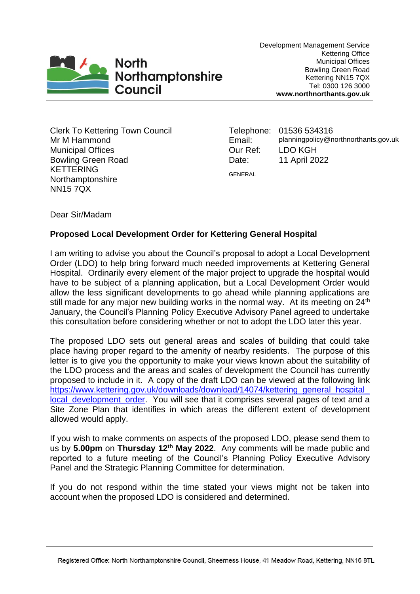

Development Management Service Kettering Office Municipal Offices Bowling Green Road Kettering NN15 7QX Tel: 0300 126 3000 **www.northnorthants.gov.uk**

Clerk To Kettering Town Council Mr M Hammond Municipal Offices Bowling Green Road KETTERING Northamptonshire NN15 7QX

Telephone: 01536 534316 Email: planningpolicy@northnorthants.gov.uk Our Ref: LDO KGH Date: 11 April 2022 GENERAL

Dear Sir/Madam

# **Proposed Local Development Order for Kettering General Hospital**

I am writing to advise you about the Council's proposal to adopt a Local Development Order (LDO) to help bring forward much needed improvements at Kettering General Hospital. Ordinarily every element of the major project to upgrade the hospital would have to be subject of a planning application, but a Local Development Order would allow the less significant developments to go ahead while planning applications are still made for any major new building works in the normal way. At its meeting on  $24<sup>th</sup>$ January, the Council's Planning Policy Executive Advisory Panel agreed to undertake this consultation before considering whether or not to adopt the LDO later this year.

The proposed LDO sets out general areas and scales of building that could take place having proper regard to the amenity of nearby residents. The purpose of this letter is to give you the opportunity to make your views known about the suitability of the LDO process and the areas and scales of development the Council has currently proposed to include in it. A copy of the draft LDO can be viewed at the following link [https://www.kettering.gov.uk/downloads/download/14074/kettering\\_general\\_hospital\\_](https://www.kettering.gov.uk/downloads/download/14074/kettering_general_hospital_local_development_order) local development order. You will see that it comprises several pages of text and a Site Zone Plan that identifies in which areas the different extent of development allowed would apply.

If you wish to make comments on aspects of the proposed LDO, please send them to us by **5.00pm** on **Thursday 12th May 2022**. Any comments will be made public and reported to a future meeting of the Council's Planning Policy Executive Advisory Panel and the Strategic Planning Committee for determination.

If you do not respond within the time stated your views might not be taken into account when the proposed LDO is considered and determined.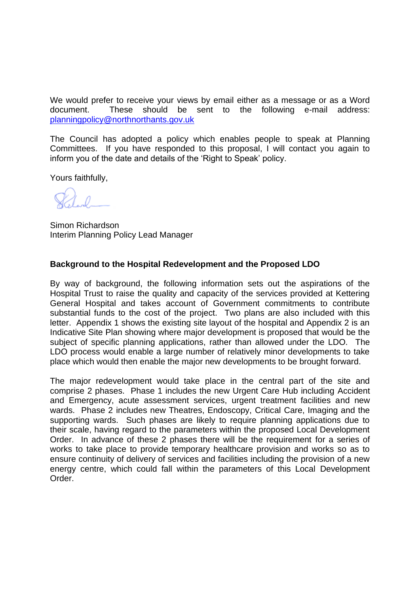We would prefer to receive your views by email either as a message or as a Word document. These should be sent to the following e-mail address: [planningpolicy@northnorthants.gov.uk](mailto:planningpolicy@northnorthants.gov.uk)

The Council has adopted a policy which enables people to speak at Planning Committees. If you have responded to this proposal, I will contact you again to inform you of the date and details of the 'Right to Speak' policy.

Yours faithfully,

Simon Richardson Interim Planning Policy Lead Manager

## **Background to the Hospital Redevelopment and the Proposed LDO**

By way of background, the following information sets out the aspirations of the Hospital Trust to raise the quality and capacity of the services provided at Kettering General Hospital and takes account of Government commitments to contribute substantial funds to the cost of the project. Two plans are also included with this letter. Appendix 1 shows the existing site layout of the hospital and Appendix 2 is an Indicative Site Plan showing where major development is proposed that would be the subject of specific planning applications, rather than allowed under the LDO. The LDO process would enable a large number of relatively minor developments to take place which would then enable the major new developments to be brought forward.

The major redevelopment would take place in the central part of the site and comprise 2 phases. Phase 1 includes the new Urgent Care Hub including Accident and Emergency, acute assessment services, urgent treatment facilities and new wards. Phase 2 includes new Theatres, Endoscopy, Critical Care, Imaging and the supporting wards. Such phases are likely to require planning applications due to their scale, having regard to the parameters within the proposed Local Development Order. In advance of these 2 phases there will be the requirement for a series of works to take place to provide temporary healthcare provision and works so as to ensure continuity of delivery of services and facilities including the provision of a new energy centre, which could fall within the parameters of this Local Development Order.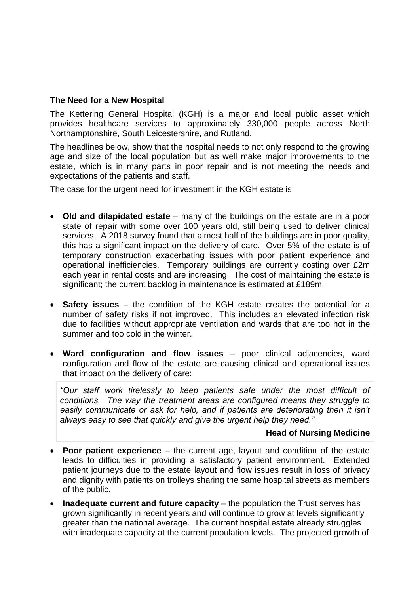### **The Need for a New Hospital**

The Kettering General Hospital (KGH) is a major and local public asset which provides healthcare services to approximately 330,000 people across North Northamptonshire, South Leicestershire, and Rutland.

The headlines below, show that the hospital needs to not only respond to the growing age and size of the local population but as well make major improvements to the estate, which is in many parts in poor repair and is not meeting the needs and expectations of the patients and staff.

The case for the urgent need for investment in the KGH estate is:

- Old and dilapidated estate many of the buildings on the estate are in a poor state of repair with some over 100 years old, still being used to deliver clinical services. A 2018 survey found that almost half of the buildings are in poor quality, this has a significant impact on the delivery of care. Over 5% of the estate is of temporary construction exacerbating issues with poor patient experience and operational inefficiencies. Temporary buildings are currently costing over £2m each year in rental costs and are increasing. The cost of maintaining the estate is significant; the current backlog in maintenance is estimated at £189m.
- **Safety issues**  the condition of the KGH estate creates the potential for a number of safety risks if not improved. This includes an elevated infection risk due to facilities without appropriate ventilation and wards that are too hot in the summer and too cold in the winter.
- **Ward configuration and flow issues**  poor clinical adjacencies, ward configuration and flow of the estate are causing clinical and operational issues that impact on the delivery of care:

*"Our staff work tirelessly to keep patients safe under the most difficult of conditions. The way the treatment areas are configured means they struggle to*  easily communicate or ask for help, and if patients are deteriorating then it isn't *always easy to see that quickly and give the urgent help they need."*

#### **Head of Nursing Medicine**

- **Poor patient experience**  the current age, layout and condition of the estate leads to difficulties in providing a satisfactory patient environment. Extended patient journeys due to the estate layout and flow issues result in loss of privacy and dignity with patients on trolleys sharing the same hospital streets as members of the public.
- **Inadequate current and future capacity** the population the Trust serves has grown significantly in recent years and will continue to grow at levels significantly greater than the national average. The current hospital estate already struggles with inadequate capacity at the current population levels. The projected growth of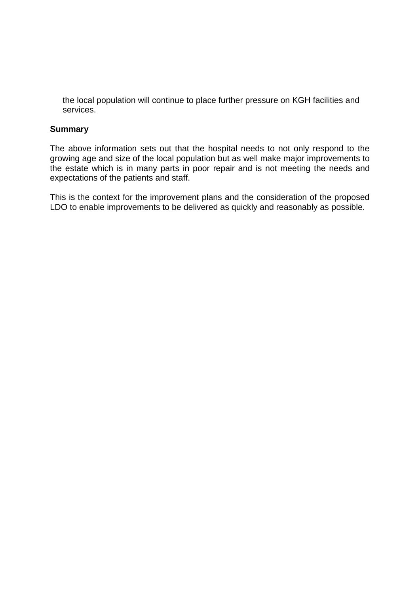the local population will continue to place further pressure on KGH facilities and services.

### **Summary**

The above information sets out that the hospital needs to not only respond to the growing age and size of the local population but as well make major improvements to the estate which is in many parts in poor repair and is not meeting the needs and expectations of the patients and staff.

This is the context for the improvement plans and the consideration of the proposed LDO to enable improvements to be delivered as quickly and reasonably as possible.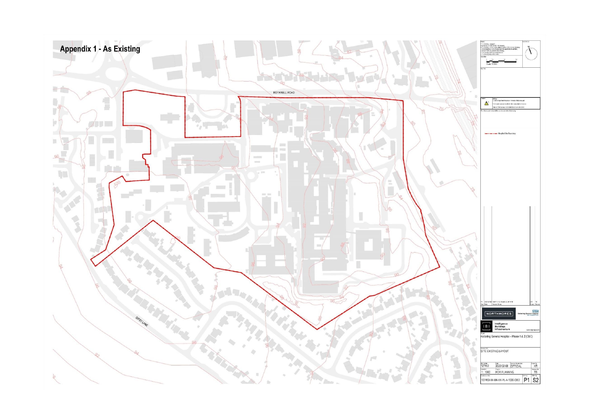